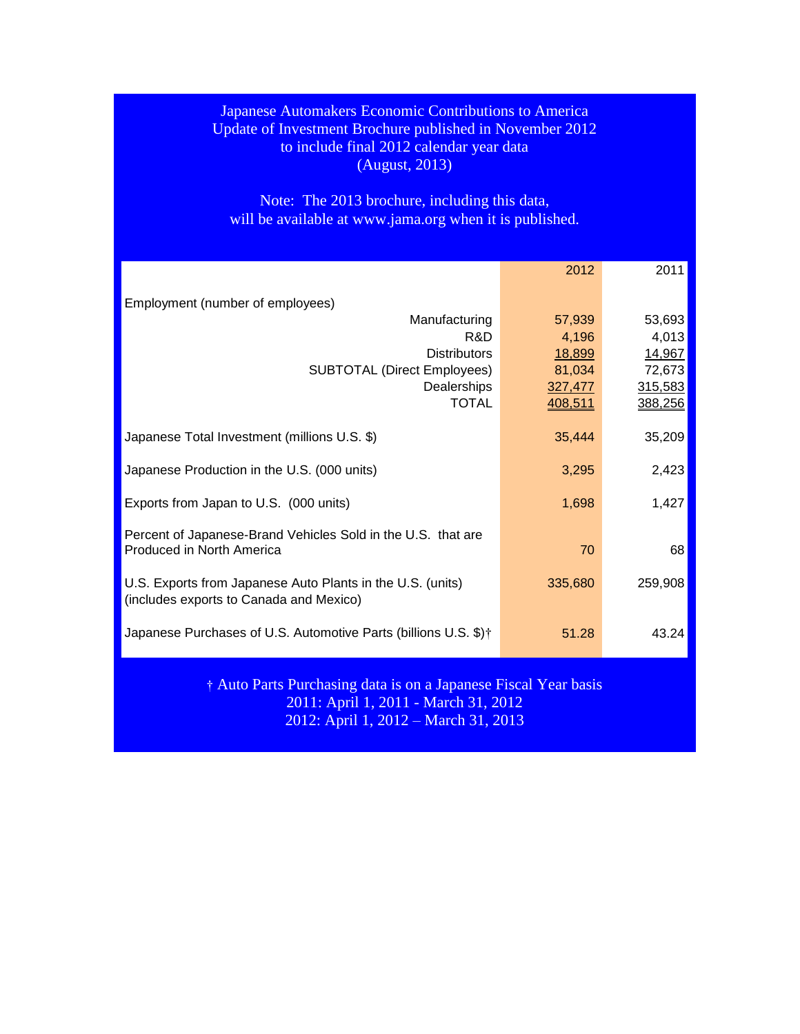## Japanese Automakers Economic Contributions to America Update of Investment Brochure published in November 2012 to include final 2012 calendar year data (August, 2013)

Note: The 2013 brochure, including this data, will be available at [www.jama.org](http://www.jama.org/) when it is published.

|                                                                                                       | 2012               | 2011    |  |  |  |  |
|-------------------------------------------------------------------------------------------------------|--------------------|---------|--|--|--|--|
| Employment (number of employees)                                                                      |                    |         |  |  |  |  |
| Manufacturing                                                                                         | 57,939             | 53,693  |  |  |  |  |
| R&D                                                                                                   | 4,196              | 4,013   |  |  |  |  |
| <b>Distributors</b>                                                                                   | 18,899             | 14,967  |  |  |  |  |
| <b>SUBTOTAL (Direct Employees)</b>                                                                    | 81,034             | 72,673  |  |  |  |  |
| Dealerships<br><b>TOTAL</b>                                                                           | 327,477<br>408,511 | 315,583 |  |  |  |  |
|                                                                                                       |                    | 388,256 |  |  |  |  |
| Japanese Total Investment (millions U.S. \$)                                                          | 35,444             | 35,209  |  |  |  |  |
| Japanese Production in the U.S. (000 units)                                                           | 3,295              | 2,423   |  |  |  |  |
| Exports from Japan to U.S. (000 units)                                                                | 1,698              | 1,427   |  |  |  |  |
| Percent of Japanese-Brand Vehicles Sold in the U.S. that are                                          |                    |         |  |  |  |  |
| Produced in North America                                                                             | 70                 | 68      |  |  |  |  |
| U.S. Exports from Japanese Auto Plants in the U.S. (units)<br>(includes exports to Canada and Mexico) | 335,680            | 259,908 |  |  |  |  |
|                                                                                                       |                    |         |  |  |  |  |
| Japanese Purchases of U.S. Automotive Parts (billions U.S. \$) <sup>†</sup>                           | 51.28              | 43.24   |  |  |  |  |
| † Auto Parts Purchasing data is on a Japanese Fiscal Year basis                                       |                    |         |  |  |  |  |
| 2011: April 1, 2011 - March 31, 2012                                                                  |                    |         |  |  |  |  |
| 2012: April 1, 2012 – March 31, 2013                                                                  |                    |         |  |  |  |  |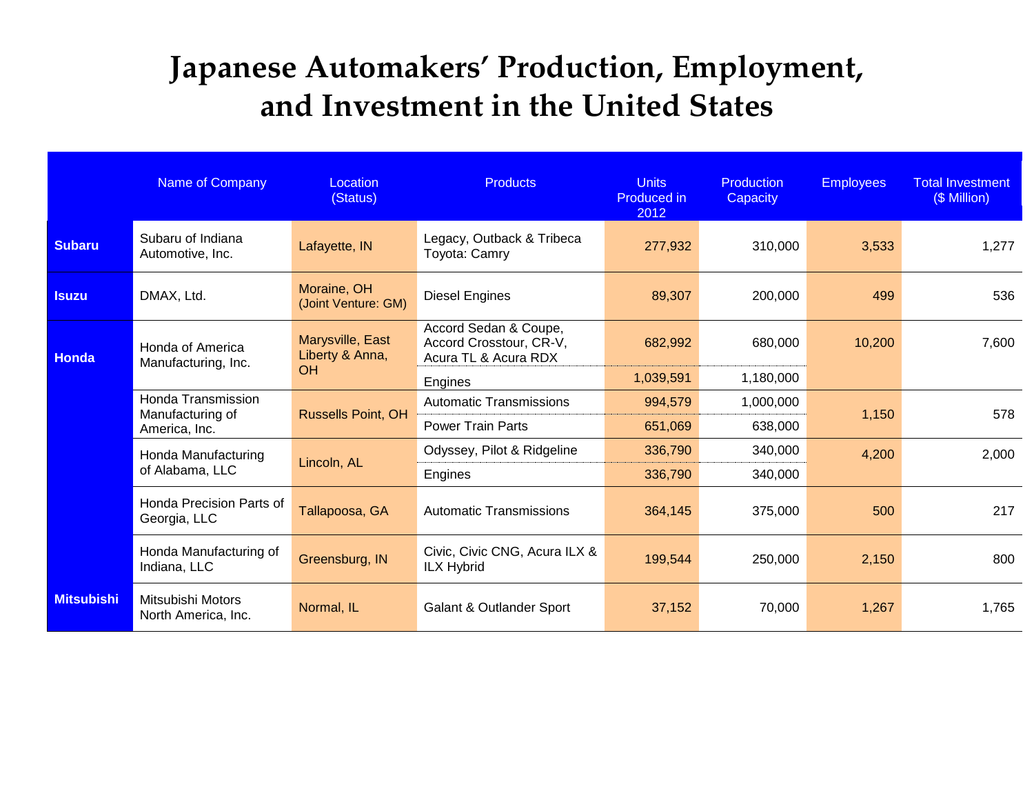## **Japanese Automakers' Production, Employment, and Investment in the United States**

|                   | Name of Company                                 | Location<br>(Status)                | <b>Products</b>                                                          | <b>Units</b><br><b>Produced in</b><br>2012 | <b>Production</b><br>Capacity | <b>Employees</b> | <b>Total Investment</b><br>(\$ Million) |
|-------------------|-------------------------------------------------|-------------------------------------|--------------------------------------------------------------------------|--------------------------------------------|-------------------------------|------------------|-----------------------------------------|
| <b>Subaru</b>     | Subaru of Indiana<br>Automotive, Inc.           | Lafayette, IN                       | Legacy, Outback & Tribeca<br>Toyota: Camry                               | 277,932                                    | 310,000                       | 3,533            | 1,277                                   |
| <b>Isuzu</b>      | DMAX, Ltd.                                      | Moraine, OH<br>(Joint Venture: GM)  | <b>Diesel Engines</b>                                                    | 89,307                                     | 200,000                       | 499              | 536                                     |
| Honda             | Honda of America<br>Manufacturing, Inc.         | Marysville, East<br>Liberty & Anna, | Accord Sedan & Coupe,<br>Accord Crosstour, CR-V,<br>Acura TL & Acura RDX | 682,992                                    | 680,000                       | 10,200           | 7,600                                   |
|                   |                                                 | <b>OH</b>                           | Engines                                                                  | 1,039,591                                  | 1,180,000                     |                  |                                         |
|                   | Honda Transmission                              |                                     | <b>Automatic Transmissions</b>                                           | 994,579                                    | 1,000,000                     |                  |                                         |
|                   | Manufacturing of<br>America, Inc.               | <b>Russells Point, OH</b>           | <b>Power Train Parts</b>                                                 | 651,069                                    | 638,000                       | 1,150            | 578                                     |
|                   | Honda Manufacturing                             |                                     | Odyssey, Pilot & Ridgeline                                               | 336,790                                    | 340,000                       | 4,200            | 2,000                                   |
|                   | of Alabama, LLC                                 | Lincoln, AL                         | Engines                                                                  | 336,790                                    | 340,000                       |                  |                                         |
|                   | <b>Honda Precision Parts of</b><br>Georgia, LLC | Tallapoosa, GA                      | <b>Automatic Transmissions</b>                                           | 364,145                                    | 375,000                       | 500              | 217                                     |
|                   | Honda Manufacturing of<br>Indiana, LLC          | Greensburg, IN                      | Civic, Civic CNG, Acura ILX &<br><b>ILX Hybrid</b>                       | 199,544                                    | 250,000                       | 2,150            | 800                                     |
| <b>Mitsubishi</b> | Mitsubishi Motors<br>North America, Inc.        | Normal, IL                          | <b>Galant &amp; Outlander Sport</b>                                      | 37,152                                     | 70,000                        | 1,267            | 1,765                                   |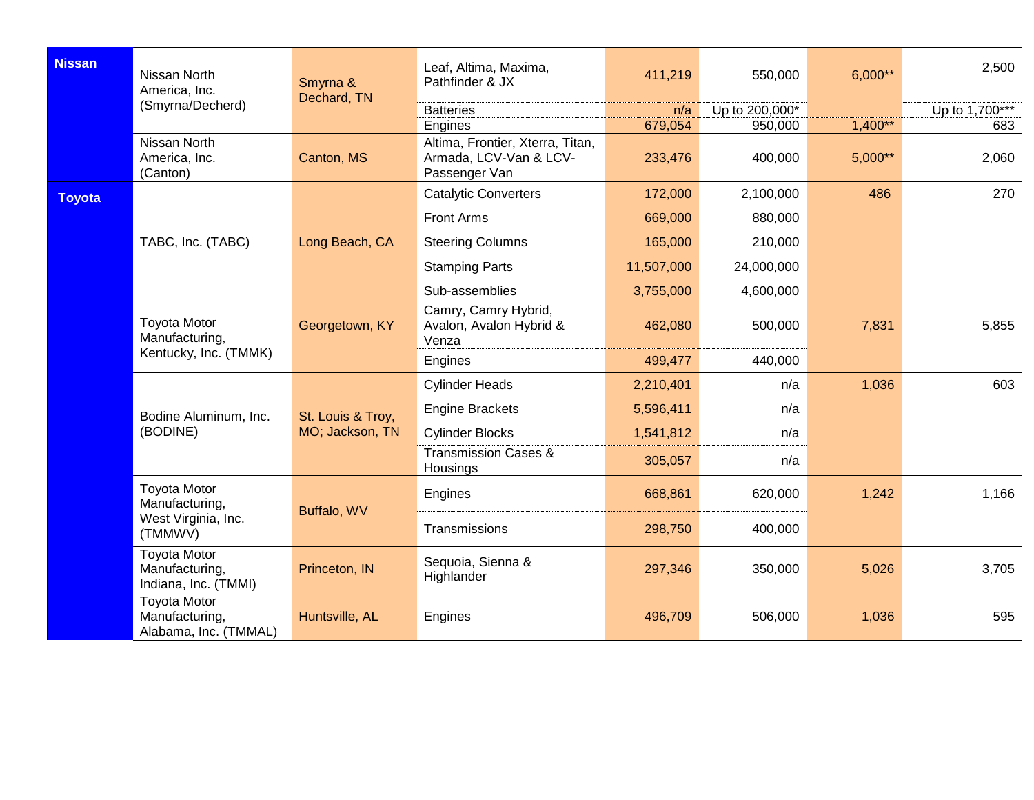| <b>Nissan</b> | Nissan North<br>America, Inc.<br>(Smyrna/Decherd)                       | Smyrna &<br>Dechard, TN              | Leaf, Altima, Maxima,<br>Pathfinder & JX                                               | 411,219            | 550,000            | $6,000**$              | 2,500          |
|---------------|-------------------------------------------------------------------------|--------------------------------------|----------------------------------------------------------------------------------------|--------------------|--------------------|------------------------|----------------|
|               |                                                                         |                                      | <b>Batteries</b>                                                                       | n/a                | Up to 200,000*     |                        | Up to 1,700*** |
|               | Nissan North<br>America, Inc.<br>(Canton)                               | Canton, MS                           | Engines<br>Altima, Frontier, Xterra, Titan,<br>Armada, LCV-Van & LCV-<br>Passenger Van | 679,054<br>233,476 | 950,000<br>400,000 | $1,400**$<br>$5,000**$ | 683<br>2,060   |
| <b>Toyota</b> |                                                                         |                                      | <b>Catalytic Converters</b>                                                            | 172,000            | 2,100,000          | 486                    | 270            |
|               |                                                                         |                                      | Front Arms                                                                             | 669,000            | 880,000            |                        |                |
|               | TABC, Inc. (TABC)                                                       | Long Beach, CA                       | <b>Steering Columns</b>                                                                | 165,000            | 210,000            |                        |                |
|               |                                                                         |                                      | <b>Stamping Parts</b>                                                                  | 11,507,000         | 24,000,000         |                        |                |
|               |                                                                         |                                      | Sub-assemblies                                                                         | 3,755,000          | 4,600,000          |                        |                |
|               | <b>Toyota Motor</b><br>Manufacturing,                                   | Georgetown, KY                       | Camry, Camry Hybrid,<br>Avalon, Avalon Hybrid &<br>Venza                               | 462,080            | 500,000            | 7,831                  | 5,855          |
|               | Kentucky, Inc. (TMMK)                                                   |                                      | Engines                                                                                | 499,477            | 440,000            |                        |                |
|               |                                                                         | St. Louis & Troy,<br>MO; Jackson, TN | <b>Cylinder Heads</b>                                                                  | 2,210,401          | n/a                | 1,036                  | 603            |
|               | Bodine Aluminum, Inc.                                                   |                                      | <b>Engine Brackets</b>                                                                 | 5,596,411          | n/a                |                        |                |
|               | (BODINE)                                                                |                                      | <b>Cylinder Blocks</b>                                                                 | 1,541,812          | n/a                |                        |                |
|               |                                                                         |                                      | <b>Transmission Cases &amp;</b><br>Housings                                            | 305,057            | n/a                |                        |                |
|               | <b>Toyota Motor</b><br>Manufacturing,<br>West Virginia, Inc.<br>(TMMWV) | Buffalo, WV                          | Engines                                                                                | 668,861            | 620,000            | 1,242                  | 1,166          |
|               |                                                                         |                                      | Transmissions                                                                          | 298,750            | 400,000            |                        |                |
|               | <b>Toyota Motor</b><br>Manufacturing,<br>Indiana, Inc. (TMMI)           | Princeton, IN                        | Sequoia, Sienna &<br>Highlander                                                        | 297,346            | 350,000            | 5,026                  | 3,705          |
|               | <b>Toyota Motor</b><br>Manufacturing,<br>Alabama, Inc. (TMMAL)          | Huntsville, AL                       | Engines                                                                                | 496,709            | 506,000            | 1,036                  | 595            |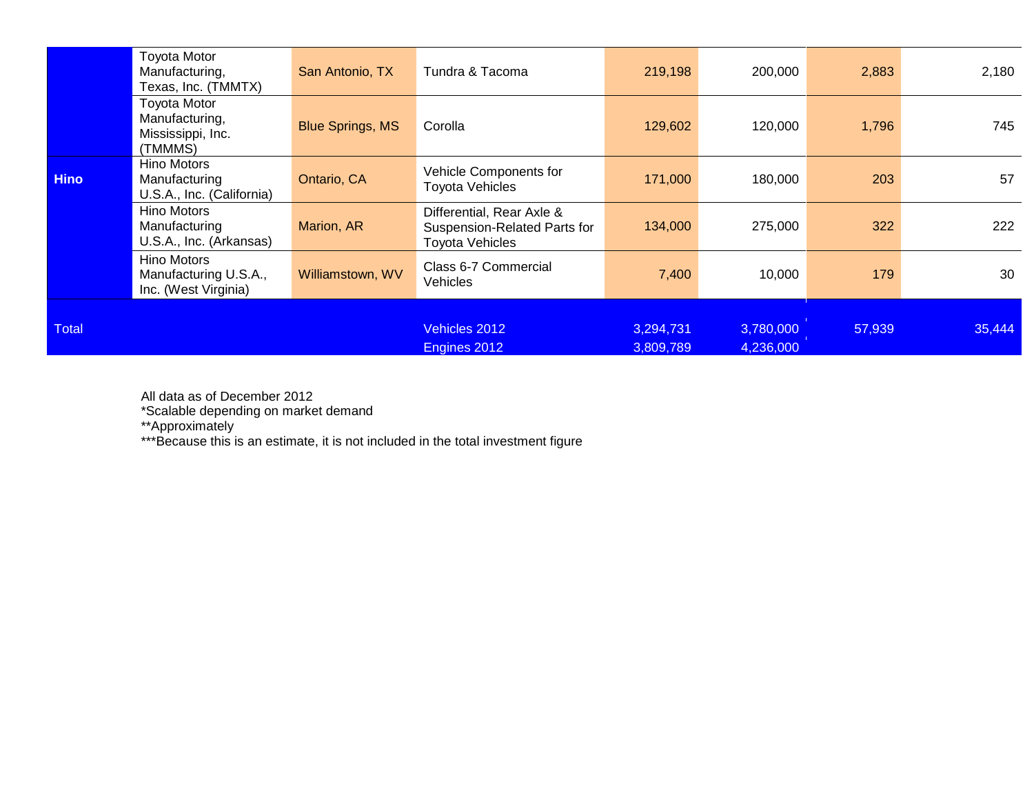|              | <b>Toyota Motor</b><br>Manufacturing,<br>Texas, Inc. (TMMTX)          | San Antonio, TX         | Tundra & Tacoma                                                                     | 219,198                | 200,000                | 2,883  | 2,180  |
|--------------|-----------------------------------------------------------------------|-------------------------|-------------------------------------------------------------------------------------|------------------------|------------------------|--------|--------|
|              | <b>Toyota Motor</b><br>Manufacturing,<br>Mississippi, Inc.<br>(TMMMS) | <b>Blue Springs, MS</b> | Corolla                                                                             | 129,602                | 120,000                | 1,796  | 745    |
| <b>Hino</b>  | Hino Motors<br>Manufacturing<br>U.S.A., Inc. (California)             | Ontario, CA             | Vehicle Components for<br><b>Toyota Vehicles</b>                                    | 171,000                | 180,000                | 203    | 57     |
|              | Hino Motors<br>Manufacturing<br>U.S.A., Inc. (Arkansas)               | Marion, AR              | Differential, Rear Axle &<br>Suspension-Related Parts for<br><b>Toyota Vehicles</b> | 134,000                | 275,000                | 322    | 222    |
|              | Hino Motors<br>Manufacturing U.S.A.,<br>Inc. (West Virginia)          | Williamstown, WV        | Class 6-7 Commercial<br><b>Vehicles</b>                                             | 7,400                  | 10,000                 | 179    | 30     |
| <b>Total</b> |                                                                       |                         | Vehicles 2012<br>Engines 2012                                                       | 3,294,731<br>3,809,789 | 3,780,000<br>4,236,000 | 57,939 | 35,444 |

All data as of December 2012

\*Scalable depending on market demand

\*\*Approximately

\*\*\*Because this is an estimate, it is not included in the total investment figure